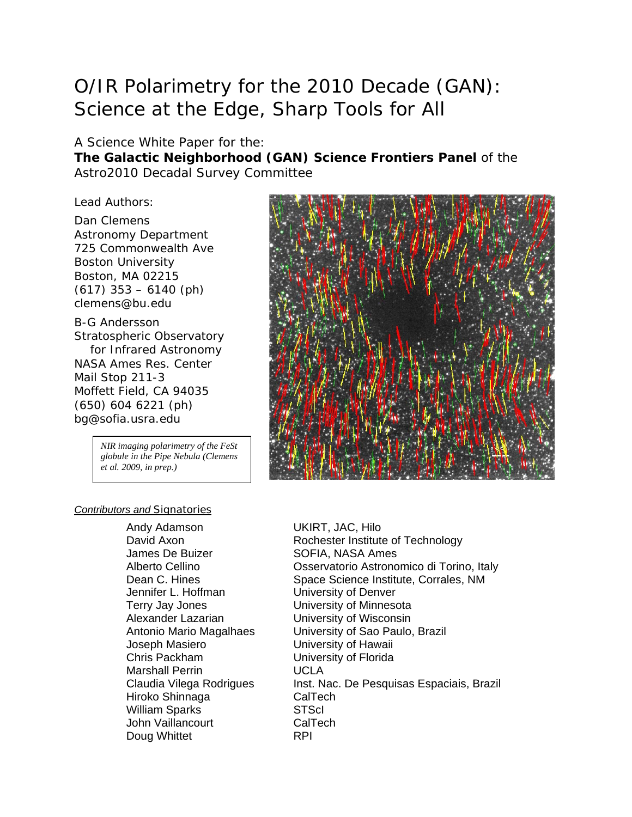# O/IR Polarimetry for the 2010 Decade (GAN): Science at the Edge, Sharp Tools for All

#### A Science White Paper for the:

**The Galactic Neighborhood (GAN) Science Frontiers Panel** of the Astro2010 Decadal Survey Committee

Lead Authors:

Dan Clemens Astronomy Department 725 Commonwealth Ave Boston University Boston, MA 02215 (617) 353 – 6140 (ph) clemens@bu.edu

B-G Andersson Stratospheric Observatory for Infrared Astronomy NASA Ames Res. Center Mail Stop 211-3 Moffett Field, CA 94035 (650) 604 6221 (ph) bg@sofia.usra.edu

> *NIR imaging polarimetry of the FeSt globule in the Pipe Nebula (Clemens et al. 2009, in prep.)*



#### *Contributors and Signatories*

Andy Adamson UKIRT, JAC, Hilo James De Buizer SOFIA, NASA Ames Jennifer L. Hoffman University of Denver Terry Jay Jones University of Minnesota Alexander Lazarian University of Wisconsin Chris Packham University of Florida Marshall Perrin UCLA Hiroko Shinnaga CalTech William Sparks STScI John Vaillancourt CalTech Doug Whittet **RPI** 

David Axon **Rochester Institute of Technology** Alberto Cellino Osservatorio Astronomico di Torino, Italy Dean C. Hines Space Science Institute, Corrales, NM Antonio Mario Magalhaes University of Sao Paulo, Brazil<br>Joseph Masiero **University of Hawaii** University of Hawaii Claudia Vilega Rodrigues Inst. Nac. De Pesquisas Espaciais, Brazil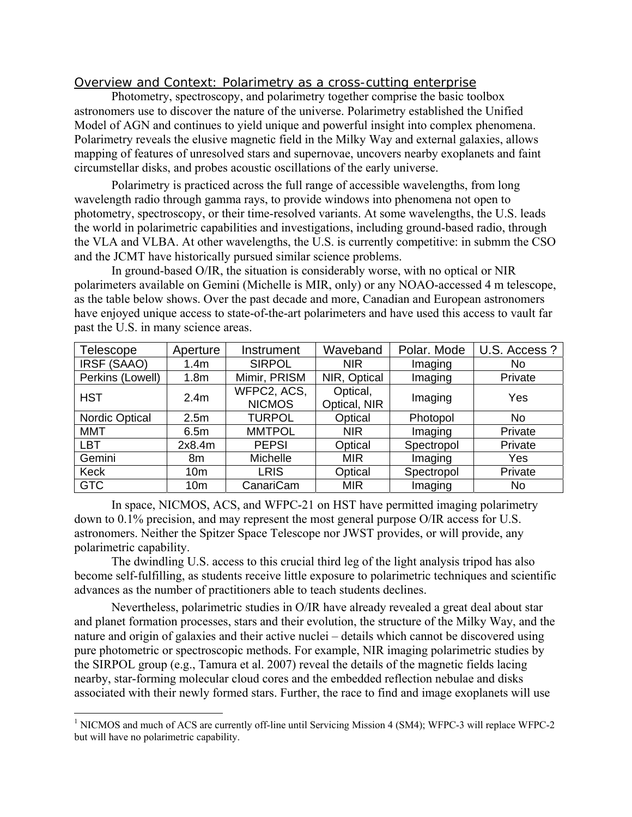# *Overview and Context: Polarimetry as a cross-cutting enterprise*

 Photometry, spectroscopy, and polarimetry together comprise the basic toolbox astronomers use to discover the nature of the universe. Polarimetry established the Unified Model of AGN and continues to yield unique and powerful insight into complex phenomena. Polarimetry reveals the elusive magnetic field in the Milky Way and external galaxies, allows mapping of features of unresolved stars and supernovae, uncovers nearby exoplanets and faint circumstellar disks, and probes acoustic oscillations of the early universe.

Polarimetry is practiced across the full range of accessible wavelengths, from long wavelength radio through gamma rays, to provide windows into phenomena not open to photometry, spectroscopy, or their time-resolved variants. At some wavelengths, the U.S. leads the world in polarimetric capabilities and investigations, including ground-based radio, through the VLA and VLBA. At other wavelengths, the U.S. is currently competitive: in submm the CSO and the JCMT have historically pursued similar science problems.

In ground-based O/IR, the situation is considerably worse, with no optical or NIR polarimeters available on Gemini (Michelle is MIR, only) or any NOAO-accessed 4 m telescope, as the table below shows. Over the past decade and more, Canadian and European astronomers have enjoyed unique access to state-of-the-art polarimeters and have used this access to vault far past the U.S. in many science areas.

| <b>Telescope</b>      | Aperture         | Instrument                   | Waveband                 | Polar. Mode | U.S. Access? |
|-----------------------|------------------|------------------------------|--------------------------|-------------|--------------|
| IRSF (SAAO)           | 1.4 <sub>m</sub> | <b>SIRPOL</b>                | <b>NIR</b>               | Imaging     | No.          |
| Perkins (Lowell)      | 1.8 <sub>m</sub> | Mimir, PRISM                 | NIR, Optical             | Imaging     | Private      |
| <b>HST</b>            | 2.4 <sub>m</sub> | WFPC2, ACS,<br><b>NICMOS</b> | Optical,<br>Optical, NIR | Imaging     | Yes          |
| <b>Nordic Optical</b> | 2.5m             | <b>TURPOL</b>                | Optical                  | Photopol    | No.          |
| <b>MMT</b>            | 6.5m             | <b>MMTPOL</b>                | <b>NIR</b>               | Imaging     | Private      |
| <b>LBT</b>            | 2x8.4m           | <b>PEPSI</b>                 | Optical                  | Spectropol  | Private      |
| Gemini                | 8m               | Michelle                     | <b>MIR</b>               | Imaging     | Yes          |
| Keck                  | 10 <sub>m</sub>  | <b>LRIS</b>                  | Optical                  | Spectropol  | Private      |
| <b>GTC</b>            | 10 <sub>m</sub>  | CanariCam                    | <b>MIR</b>               | Imaging     | <b>No</b>    |

In space, NICMOS, ACS, and WFPC-21 on HST have permitted imaging polarimetry down to 0.1% precision, and may represent the most general purpose O/IR access for U.S. astronomers. Neither the Spitzer Space Telescope nor JWST provides, or will provide, any polarimetric capability.

 The dwindling U.S. access to this crucial third leg of the light analysis tripod has also become self-fulfilling, as students receive little exposure to polarimetric techniques and scientific advances as the number of practitioners able to teach students declines.

 Nevertheless, polarimetric studies in O/IR have already revealed a great deal about star and planet formation processes, stars and their evolution, the structure of the Milky Way, and the nature and origin of galaxies and their active nuclei – details which cannot be discovered using pure photometric or spectroscopic methods. For example, NIR imaging polarimetric studies by the SIRPOL group (e.g., Tamura et al. 2007) reveal the details of the magnetic fields lacing nearby, star-forming molecular cloud cores and the embedded reflection nebulae and disks associated with their newly formed stars. Further, the race to find and image exoplanets will use

 $\overline{a}$ 

<sup>&</sup>lt;sup>1</sup> NICMOS and much of ACS are currently off-line until Servicing Mission 4 (SM4); WFPC-3 will replace WFPC-2 but will have no polarimetric capability.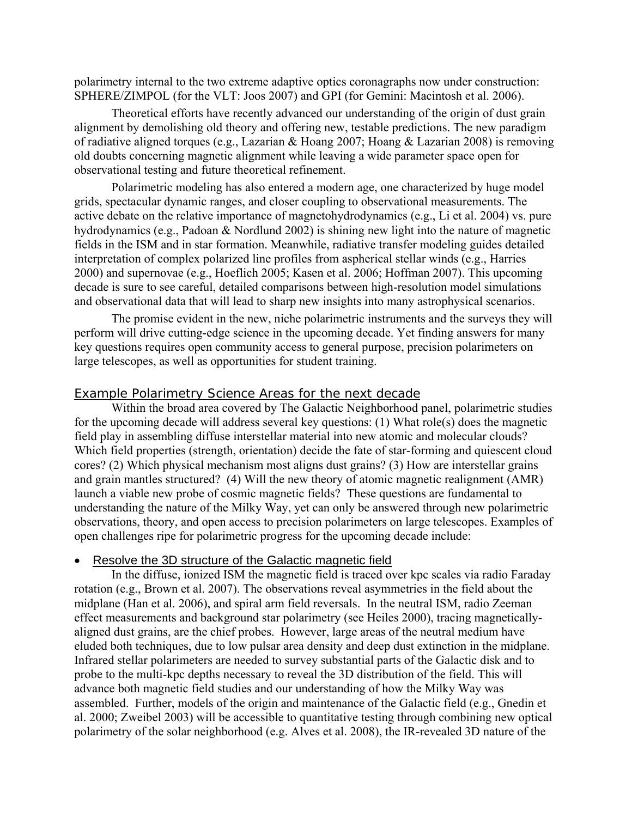polarimetry internal to the two extreme adaptive optics coronagraphs now under construction: SPHERE/ZIMPOL (for the VLT: Joos 2007) and GPI (for Gemini: Macintosh et al. 2006).

 Theoretical efforts have recently advanced our understanding of the origin of dust grain alignment by demolishing old theory and offering new, testable predictions. The new paradigm of radiative aligned torques (e.g., Lazarian & Hoang 2007; Hoang & Lazarian 2008) is removing old doubts concerning magnetic alignment while leaving a wide parameter space open for observational testing and future theoretical refinement.

Polarimetric modeling has also entered a modern age, one characterized by huge model grids, spectacular dynamic ranges, and closer coupling to observational measurements. The active debate on the relative importance of magnetohydrodynamics (e.g., Li et al. 2004) vs. pure hydrodynamics (e.g., Padoan & Nordlund 2002) is shining new light into the nature of magnetic fields in the ISM and in star formation. Meanwhile, radiative transfer modeling guides detailed interpretation of complex polarized line profiles from aspherical stellar winds (e.g., Harries 2000) and supernovae (e.g., Hoeflich 2005; Kasen et al. 2006; Hoffman 2007). This upcoming decade is sure to see careful, detailed comparisons between high-resolution model simulations and observational data that will lead to sharp new insights into many astrophysical scenarios.

 The promise evident in the new, niche polarimetric instruments and the surveys they will perform will drive cutting-edge science in the upcoming decade. Yet finding answers for many key questions requires open community access to general purpose, precision polarimeters on large telescopes, as well as opportunities for student training.

#### *Example Polarimetry Science Areas for the next decade*

Within the broad area covered by The Galactic Neighborhood panel, polarimetric studies for the upcoming decade will address several key questions: (1) What role(s) does the magnetic field play in assembling diffuse interstellar material into new atomic and molecular clouds? Which field properties (strength, orientation) decide the fate of star-forming and quiescent cloud cores? (2) Which physical mechanism most aligns dust grains? (3) How are interstellar grains and grain mantles structured? (4) Will the new theory of atomic magnetic realignment (AMR) launch a viable new probe of cosmic magnetic fields? These questions are fundamental to understanding the nature of the Milky Way, yet can only be answered through new polarimetric observations, theory, and open access to precision polarimeters on large telescopes. Examples of open challenges ripe for polarimetric progress for the upcoming decade include:

#### • Resolve the 3D structure of the Galactic magnetic field

In the diffuse, ionized ISM the magnetic field is traced over kpc scales via radio Faraday rotation (e.g., Brown et al. 2007). The observations reveal asymmetries in the field about the midplane (Han et al. 2006), and spiral arm field reversals. In the neutral ISM, radio Zeeman effect measurements and background star polarimetry (see Heiles 2000), tracing magneticallyaligned dust grains, are the chief probes. However, large areas of the neutral medium have eluded both techniques, due to low pulsar area density and deep dust extinction in the midplane. Infrared stellar polarimeters are needed to survey substantial parts of the Galactic disk and to probe to the multi-kpc depths necessary to reveal the 3D distribution of the field. This will advance both magnetic field studies and our understanding of how the Milky Way was assembled. Further, models of the origin and maintenance of the Galactic field (e.g., Gnedin et al. 2000; Zweibel 2003) will be accessible to quantitative testing through combining new optical polarimetry of the solar neighborhood (e.g. Alves et al. 2008), the IR-revealed 3D nature of the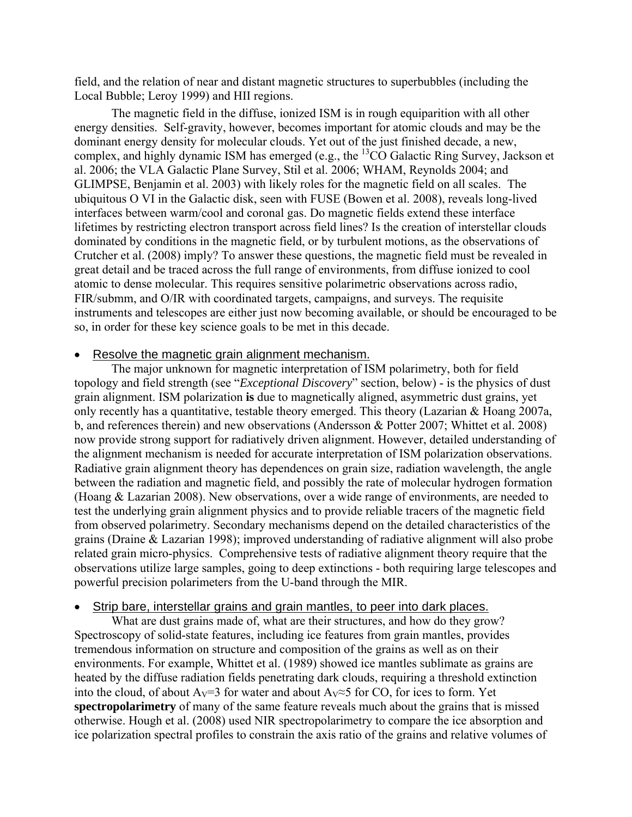field, and the relation of near and distant magnetic structures to superbubbles (including the Local Bubble; Leroy 1999) and HII regions.

 The magnetic field in the diffuse, ionized ISM is in rough equiparition with all other energy densities. Self-gravity, however, becomes important for atomic clouds and may be the dominant energy density for molecular clouds. Yet out of the just finished decade, a new, complex, and highly dynamic ISM has emerged (e.g., the <sup>13</sup>CO Galactic Ring Survey, Jackson et al. 2006; the VLA Galactic Plane Survey, Stil et al. 2006; WHAM, Reynolds 2004; and GLIMPSE, Benjamin et al. 2003) with likely roles for the magnetic field on all scales. The ubiquitous O VI in the Galactic disk, seen with FUSE (Bowen et al. 2008), reveals long-lived interfaces between warm/cool and coronal gas. Do magnetic fields extend these interface lifetimes by restricting electron transport across field lines? Is the creation of interstellar clouds dominated by conditions in the magnetic field, or by turbulent motions, as the observations of Crutcher et al. (2008) imply? To answer these questions, the magnetic field must be revealed in great detail and be traced across the full range of environments, from diffuse ionized to cool atomic to dense molecular. This requires sensitive polarimetric observations across radio, FIR/submm, and O/IR with coordinated targets, campaigns, and surveys. The requisite instruments and telescopes are either just now becoming available, or should be encouraged to be so, in order for these key science goals to be met in this decade.

#### Resolve the magnetic grain alignment mechanism.

The major unknown for magnetic interpretation of ISM polarimetry, both for field topology and field strength (see "*Exceptional Discovery*" section, below) - is the physics of dust grain alignment. ISM polarization **is** due to magnetically aligned, asymmetric dust grains, yet only recently has a quantitative, testable theory emerged. This theory (Lazarian & Hoang 2007a, b, and references therein) and new observations (Andersson & Potter 2007; Whittet et al. 2008) now provide strong support for radiatively driven alignment. However, detailed understanding of the alignment mechanism is needed for accurate interpretation of ISM polarization observations. Radiative grain alignment theory has dependences on grain size, radiation wavelength, the angle between the radiation and magnetic field, and possibly the rate of molecular hydrogen formation (Hoang & Lazarian 2008). New observations, over a wide range of environments, are needed to test the underlying grain alignment physics and to provide reliable tracers of the magnetic field from observed polarimetry. Secondary mechanisms depend on the detailed characteristics of the grains (Draine & Lazarian 1998); improved understanding of radiative alignment will also probe related grain micro-physics. Comprehensive tests of radiative alignment theory require that the observations utilize large samples, going to deep extinctions - both requiring large telescopes and powerful precision polarimeters from the U-band through the MIR.

#### Strip bare, interstellar grains and grain mantles, to peer into dark places.

What are dust grains made of, what are their structures, and how do they grow? Spectroscopy of solid-state features, including ice features from grain mantles, provides tremendous information on structure and composition of the grains as well as on their environments. For example, Whittet et al. (1989) showed ice mantles sublimate as grains are heated by the diffuse radiation fields penetrating dark clouds, requiring a threshold extinction into the cloud, of about A<sub>V</sub>=3 for water and about A<sub>V</sub>≈5 for CO, for ices to form. Yet **spectropolarimetry** of many of the same feature reveals much about the grains that is missed otherwise. Hough et al. (2008) used NIR spectropolarimetry to compare the ice absorption and ice polarization spectral profiles to constrain the axis ratio of the grains and relative volumes of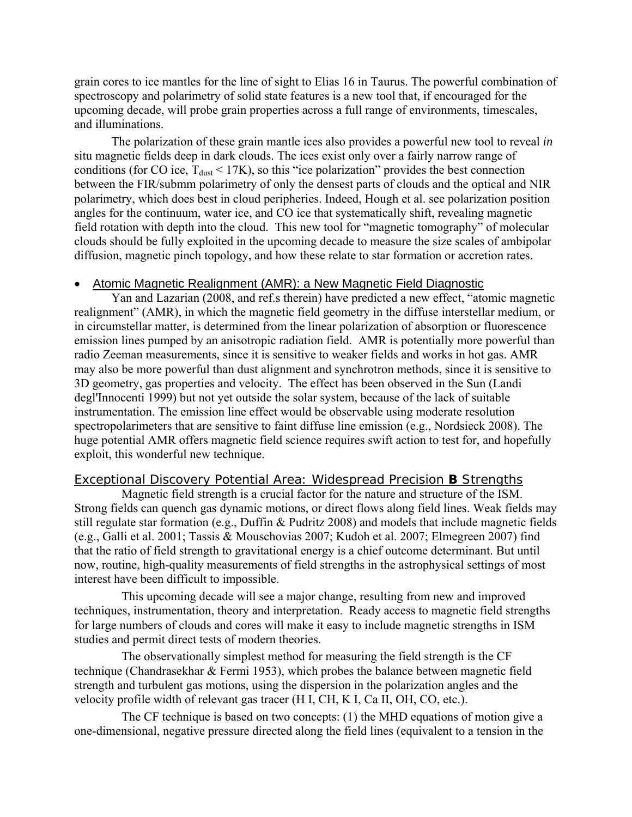grain cores to ice mantles for the line of sight to Elias 16 in Taurus. The powerful combination of spectroscopy and polarimetry of solid state features is a new tool that, if encouraged for the upcoming decade, will probe grain properties across a full range of environments, timescales, and illuminations.

 The polarization of these grain mantle ices also provides a powerful new tool to reveal *in* situ magnetic fields deep in dark clouds. The ices exist only over a fairly narrow range of conditions (for CO ice,  $T_{dust}$  < 17K), so this "ice polarization" provides the best connection between the FIR/submm polarimetry of only the densest parts of clouds and the optical and NIR polarimetry, which does best in cloud peripheries. Indeed, Hough et al. see polarization position angles for the continuum, water ice, and CO ice that systematically shift, revealing magnetic field rotation with depth into the cloud. This new tool for "magnetic tomography" of molecular clouds should be fully exploited in the upcoming decade to measure the size scales of ambipolar diffusion, magnetic pinch topology, and how these relate to star formation or accretion rates.

#### • Atomic Magnetic Realignment (AMR): a New Magnetic Field Diagnostic

Yan and Lazarian (2008, and ref.s therein) have predicted a new effect, "atomic magnetic realignment" (AMR), in which the magnetic field geometry in the diffuse interstellar medium, or in circumstellar matter, is determined from the linear polarization of absorption or fluorescence emission lines pumped by an anisotropic radiation field. AMR is potentially more powerful than radio Zeeman measurements, since it is sensitive to weaker fields and works in hot gas. AMR may also be more powerful than dust alignment and synchrotron methods, since it is sensitive to 3D geometry, gas properties and velocity. The effect has been observed in the Sun (Landi degl'Innocenti 1999) but not yet outside the solar system, because of the lack of suitable instrumentation. The emission line effect would be observable using moderate resolution spectropolarimeters that are sensitive to faint diffuse line emission (e.g., Nordsieck 2008). The huge potential AMR offers magnetic field science requires swift action to test for, and hopefully exploit, this wonderful new technique.

#### *Exceptional Discovery Potential Area: Widespread Precision B Strengths*

Magnetic field strength is a crucial factor for the nature and structure of the ISM. Strong fields can quench gas dynamic motions, or direct flows along field lines. Weak fields may still regulate star formation (e.g., Duffin & Pudritz 2008) and models that include magnetic fields (e.g., Galli et al. 2001; Tassis & Mouschovias 2007; Kudoh et al. 2007; Elmegreen 2007) find that the ratio of field strength to gravitational energy is a chief outcome determinant. But until now, routine, high-quality measurements of field strengths in the astrophysical settings of most interest have been difficult to impossible.

 This upcoming decade will see a major change, resulting from new and improved techniques, instrumentation, theory and interpretation. Ready access to magnetic field strengths for large numbers of clouds and cores will make it easy to include magnetic strengths in ISM studies and permit direct tests of modern theories.

 The observationally simplest method for measuring the field strength is the CF technique (Chandrasekhar & Fermi 1953), which probes the balance between magnetic field strength and turbulent gas motions, using the dispersion in the polarization angles and the velocity profile width of relevant gas tracer (H I, CH, K I, Ca II, OH, CO, etc.).

 The CF technique is based on two concepts: (1) the MHD equations of motion give a one-dimensional, negative pressure directed along the field lines (equivalent to a tension in the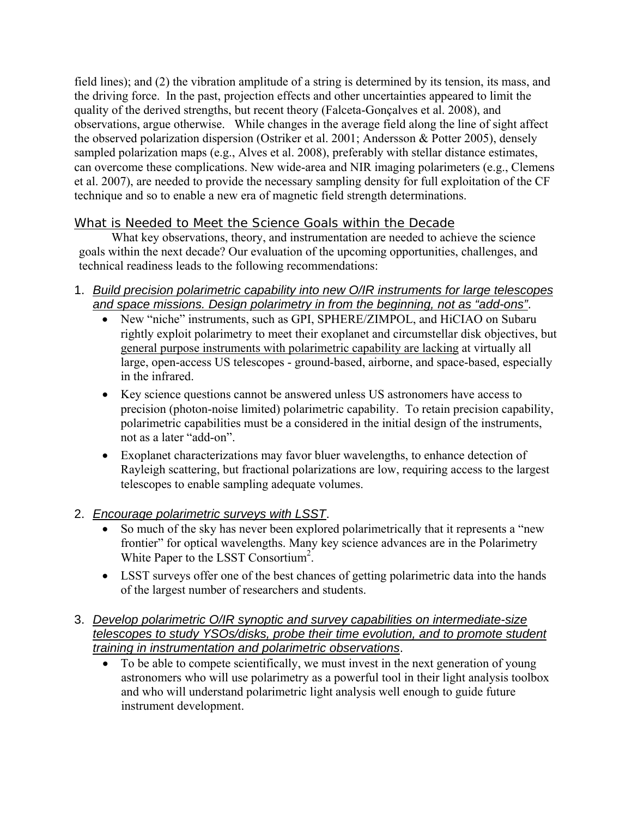field lines); and (2) the vibration amplitude of a string is determined by its tension, its mass, and the driving force. In the past, projection effects and other uncertainties appeared to limit the quality of the derived strengths, but recent theory (Falceta-Gonçalves et al. 2008), and observations, argue otherwise. While changes in the average field along the line of sight affect the observed polarization dispersion (Ostriker et al. 2001; Andersson & Potter 2005), densely sampled polarization maps (e.g., Alves et al. 2008), preferably with stellar distance estimates, can overcome these complications. New wide-area and NIR imaging polarimeters (e.g., Clemens et al. 2007), are needed to provide the necessary sampling density for full exploitation of the CF technique and so to enable a new era of magnetic field strength determinations.

# *What is Needed to Meet the Science Goals within the Decade*

What key observations, theory, and instrumentation are needed to achieve the science goals within the next decade? Our evaluation of the upcoming opportunities, challenges, and technical readiness leads to the following recommendations:

- 1. *Build precision polarimetric capability into new O/IR instruments for large telescopes and space missions. Design polarimetry in from the beginning, not as "add-ons"*.
	- New "niche" instruments, such as GPI, SPHERE/ZIMPOL, and HiCIAO on Subaru rightly exploit polarimetry to meet their exoplanet and circumstellar disk objectives, but general purpose instruments with polarimetric capability are lacking at virtually all large, open-access US telescopes - ground-based, airborne, and space-based, especially in the infrared.
	- Key science questions cannot be answered unless US astronomers have access to precision (photon-noise limited) polarimetric capability. To retain precision capability, polarimetric capabilities must be a considered in the initial design of the instruments, not as a later "add-on".
	- Exoplanet characterizations may favor bluer wavelengths, to enhance detection of Rayleigh scattering, but fractional polarizations are low, requiring access to the largest telescopes to enable sampling adequate volumes.
- 2. *Encourage polarimetric surveys with LSST*.
	- So much of the sky has never been explored polarimetrically that it represents a "new frontier" for optical wavelengths. Many key science advances are in the Polarimetry White Paper to the LSST Consortium<sup>2</sup>.
	- LSST surveys offer one of the best chances of getting polarimetric data into the hands of the largest number of researchers and students.
- 3. *Develop polarimetric O/IR synoptic and survey capabilities on intermediate-size telescopes to study YSOs/disks, probe their time evolution, and to promote student training in instrumentation and polarimetric observations*.
	- To be able to compete scientifically, we must invest in the next generation of young astronomers who will use polarimetry as a powerful tool in their light analysis toolbox and who will understand polarimetric light analysis well enough to guide future instrument development.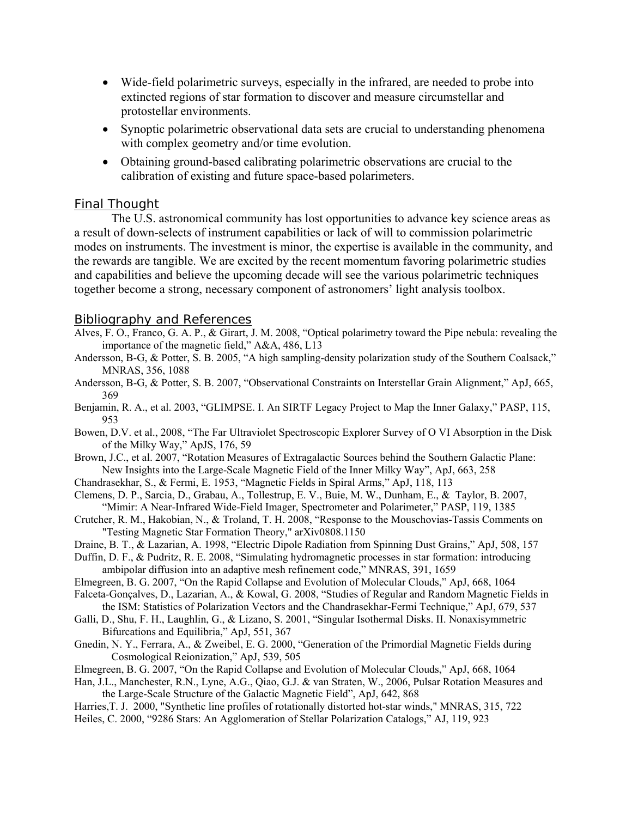- Wide-field polarimetric surveys, especially in the infrared, are needed to probe into extincted regions of star formation to discover and measure circumstellar and protostellar environments.
- Synoptic polarimetric observational data sets are crucial to understanding phenomena with complex geometry and/or time evolution.
- Obtaining ground-based calibrating polarimetric observations are crucial to the calibration of existing and future space-based polarimeters.

## *Final Thought*

The U.S. astronomical community has lost opportunities to advance key science areas as a result of down-selects of instrument capabilities or lack of will to commission polarimetric modes on instruments. The investment is minor, the expertise is available in the community, and the rewards are tangible. We are excited by the recent momentum favoring polarimetric studies and capabilities and believe the upcoming decade will see the various polarimetric techniques together become a strong, necessary component of astronomers' light analysis toolbox.

## *Bibliography and References*

- Alves, F. O., Franco, G. A. P., & Girart, J. M. 2008, "Optical polarimetry toward the Pipe nebula: revealing the importance of the magnetic field," A&A, 486, L13
- Andersson, B-G, & Potter, S. B. 2005, "A high sampling-density polarization study of the Southern Coalsack," MNRAS, 356, 1088
- Andersson, B-G, & Potter, S. B. 2007, "Observational Constraints on Interstellar Grain Alignment," ApJ, 665, 369
- Benjamin, R. A., et al. 2003, "GLIMPSE. I. An SIRTF Legacy Project to Map the Inner Galaxy," PASP, 115, 953
- Bowen, D.V. et al., 2008, "The Far Ultraviolet Spectroscopic Explorer Survey of O VI Absorption in the Disk of the Milky Way," ApJS, 176, 59
- Brown, J.C., et al. 2007, "Rotation Measures of Extragalactic Sources behind the Southern Galactic Plane: New Insights into the Large-Scale Magnetic Field of the Inner Milky Way", ApJ, 663, 258
- Chandrasekhar, S., & Fermi, E. 1953, "Magnetic Fields in Spiral Arms," ApJ, 118, 113
- Clemens, D. P., Sarcia, D., Grabau, A., Tollestrup, E. V., Buie, M. W., Dunham, E., & Taylor, B. 2007, "Mimir: A Near-Infrared Wide-Field Imager, Spectrometer and Polarimeter," PASP, 119, 1385
- Crutcher, R. M., Hakobian, N., & Troland, T. H. 2008, "Response to the Mouschovias-Tassis Comments on "Testing Magnetic Star Formation Theory," arXiv0808.1150
- Draine, B. T., & Lazarian, A. 1998, "Electric Dipole Radiation from Spinning Dust Grains," ApJ, 508, 157
- Duffin, D. F., & Pudritz, R. E. 2008, "Simulating hydromagnetic processes in star formation: introducing ambipolar diffusion into an adaptive mesh refinement code," MNRAS, 391, 1659
- Elmegreen, B. G. 2007, "On the Rapid Collapse and Evolution of Molecular Clouds," ApJ, 668, 1064
- Falceta-Gonçalves, D., Lazarian, A., & Kowal, G. 2008, "Studies of Regular and Random Magnetic Fields in the ISM: Statistics of Polarization Vectors and the Chandrasekhar-Fermi Technique," ApJ, 679, 537
- Galli, D., Shu, F. H., Laughlin, G., & Lizano, S. 2001, "Singular Isothermal Disks. II. Nonaxisymmetric Bifurcations and Equilibria," ApJ, 551, 367
- Gnedin, N. Y., Ferrara, A., & Zweibel, E. G. 2000, "Generation of the Primordial Magnetic Fields during Cosmological Reionization," ApJ, 539, 505
- Elmegreen, B. G. 2007, "On the Rapid Collapse and Evolution of Molecular Clouds," ApJ, 668, 1064
- Han, J.L., Manchester, R.N., Lyne, A.G., Qiao, G.J. & van Straten, W., 2006, Pulsar Rotation Measures and the Large-Scale Structure of the Galactic Magnetic Field", ApJ, 642, 868
- Harries,T. J. 2000, "Synthetic line profiles of rotationally distorted hot-star winds," MNRAS, 315, 722
- Heiles, C. 2000, "9286 Stars: An Agglomeration of Stellar Polarization Catalogs," AJ, 119, 923